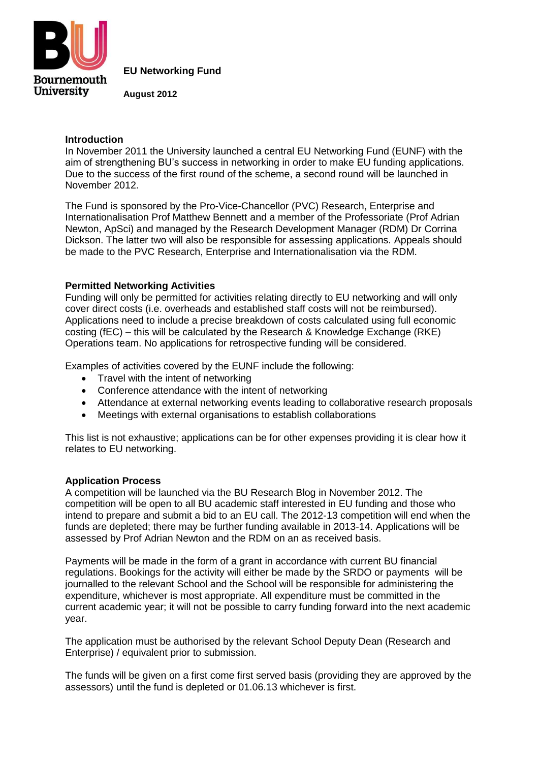

**EU Networking Fund**

**August 2012**

## **Introduction**

In November 2011 the University launched a central EU Networking Fund (EUNF) with the aim of strengthening BU's success in networking in order to make EU funding applications. Due to the success of the first round of the scheme, a second round will be launched in November 2012.

The Fund is sponsored by the Pro-Vice-Chancellor (PVC) Research, Enterprise and Internationalisation Prof Matthew Bennett and a member of the Professoriate (Prof Adrian Newton, ApSci) and managed by the Research Development Manager (RDM) Dr Corrina Dickson. The latter two will also be responsible for assessing applications. Appeals should be made to the PVC Research, Enterprise and Internationalisation via the RDM.

## **Permitted Networking Activities**

Funding will only be permitted for activities relating directly to EU networking and will only cover direct costs (i.e. overheads and established staff costs will not be reimbursed). Applications need to include a precise breakdown of costs calculated using full economic costing (fEC) – this will be calculated by the Research & Knowledge Exchange (RKE) Operations team. No applications for retrospective funding will be considered.

Examples of activities covered by the EUNF include the following:

- Travel with the intent of networking
- Conference attendance with the intent of networking
- Attendance at external networking events leading to collaborative research proposals
- Meetings with external organisations to establish collaborations

This list is not exhaustive; applications can be for other expenses providing it is clear how it relates to EU networking.

## **Application Process**

A competition will be launched via the BU Research Blog in November 2012. The competition will be open to all BU academic staff interested in EU funding and those who intend to prepare and submit a bid to an EU call. The 2012-13 competition will end when the funds are depleted; there may be further funding available in 2013-14. Applications will be assessed by Prof Adrian Newton and the RDM on an as received basis.

Payments will be made in the form of a grant in accordance with current BU financial regulations. Bookings for the activity will either be made by the SRDO or payments will be journalled to the relevant School and the School will be responsible for administering the expenditure, whichever is most appropriate. All expenditure must be committed in the current academic year; it will not be possible to carry funding forward into the next academic year.

The application must be authorised by the relevant School Deputy Dean (Research and Enterprise) / equivalent prior to submission.

The funds will be given on a first come first served basis (providing they are approved by the assessors) until the fund is depleted or 01.06.13 whichever is first.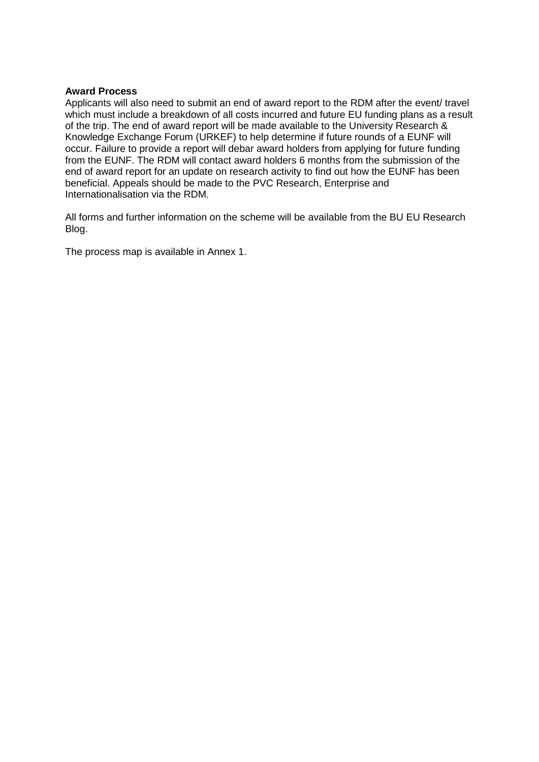## **Award Process**

Applicants will also need to submit an end of award report to the RDM after the event/ travel which must include a breakdown of all costs incurred and future EU funding plans as a result of the trip. The end of award report will be made available to the University Research & Knowledge Exchange Forum (URKEF) to help determine if future rounds of a EUNF will occur. Failure to provide a report will debar award holders from applying for future funding from the EUNF. The RDM will contact award holders 6 months from the submission of the end of award report for an update on research activity to find out how the EUNF has been beneficial. Appeals should be made to the PVC Research, Enterprise and Internationalisation via the RDM.

All forms and further information on the scheme will be available from the BU EU Research Blog.

The process map is available in Annex 1.